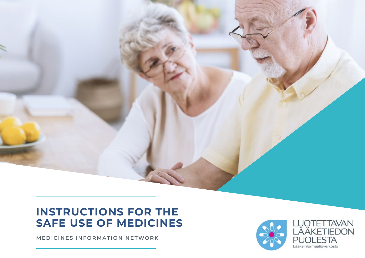# **INSTRUCTIONS FOR THE SAFE USE OF MEDICINES**

Instructions for the safe use of medicines in the safe use of medicines 100 millions for the safe use of medicines 100 millions for the safe use of medicines in the safe use of medicines in the safe use of medicines in the

**MEDICINES INFORMATION NETWORK**

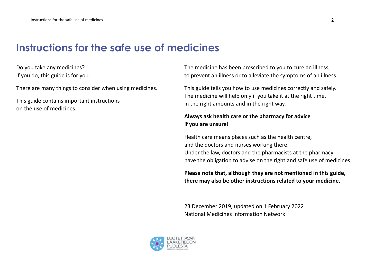## **Instructions for the safe use of medicines**

Do you take any medicines? If you do, this guide is for you.

There are many things to consider when using medicines.

This guide contains important instructions on the use of medicines.

The medicine has been prescribed to you to cure an illness, to prevent an illness or to alleviate the symptoms of an illness.

This guide tells you how to use medicines correctly and safely. The medicine will help only if you take it at the right time, in the right amounts and in the right way.

#### **Always ask health care or the pharmacy for advice if you are unsure!**

Health care means places such as the health centre, and the doctors and nurses working there. Under the law, doctors and the pharmacists at the pharmacy have the obligation to advise on the right and safe use of medicines.

**Please note that, although they are not mentioned in this guide, there may also be other instructions related to your medicine.** 

23 December 2019, updated on 1 February 2022 National Medicines Information Network

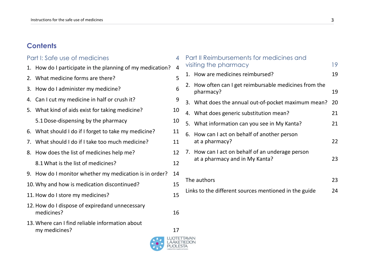### **Contents**

#### Part [I: Safe use of medicines](#page-3-0) 4

- 1. [How do I participate in the planning of my medication?](#page-3-0) 4
- 2. [What medicine forms are there?](#page-4-0) 5
- 3. [How do I administer my medicine?](#page-5-0) 6
- 4. [Can I cut my medicine in half or crush it?](#page-8-0)
- 5. [What kind of aids exist for taking medicine?](#page-9-0) 10
	- [5.1Dose-dispensing by the pharmacy](#page-9-0) 10
- 6. [What should I do if I forget to take my medicine?](#page-10-0) 11
- 7. [What should I do if I take too much medicine?](#page-10-0) 11
- 8. [How does the list of medicines help me?](#page-11-0) 12
	- 8.1 [What is the list of medicines?](#page-11-0) 12
- 9. [How do I monitor whether my medication is in order?](#page-13-0) 14
- 10. [Why and how is medication discontinued?](#page-14-0) 15
- 11. How do I store my medicines? 15
- [12.How do I dispose of expiredand unnecessary](#page-15-0) [medicines?](#page-15-0) 16
- 13. [Where can I find reliable information about](#page-16-0) [my medicines?](#page-16-0) 17





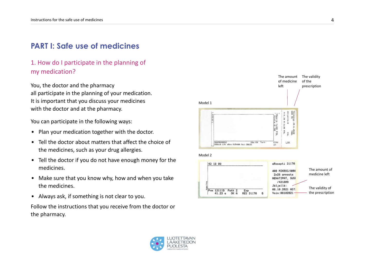## <span id="page-3-0"></span>**PART I: Safe use of medicines**

### 1. How do I participate in the planning of my medication?

You, the doctor and the pharmacy all participate in the planning of your medication. It is important that you discuss your medicines with the doctor and at the pharmacy.

You can participate in the following ways:

- Plan your medication together with the doctor.
- Tell the doctor about matters that affect the choice of the medicines, such as your drug allergies.
- Tell the doctor if you do not have enough money for the medicines.
- Make sure that you know why, how and when you take the medicines.
- Always ask, if something is not clear to you.

Follow the instructions that you receive from the doctor or the pharmacy.



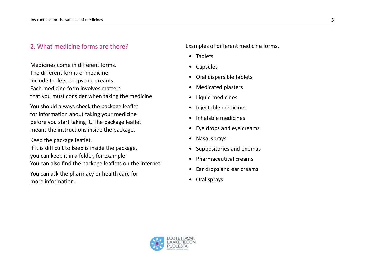#### <span id="page-4-0"></span>2. What medicine forms are there?

Medicines come in different forms. The different forms of medicine include tablets, drops and creams. Each medicine form involves matters that you must consider when taking the medicine.

You should always check the package leaflet for information about taking your medicine before you start taking it. The package leaflet means the instructions inside the package.

Keep the package leaflet. If it is difficult to keep is inside the package, you can keep it in a folder, for example.

You can also find the package leaflets on the internet.

You can ask the pharmacy or health care for more information.

Examples of different medicine forms.

- Tablets
- Capsules
- Oral dispersible tablets
- Medicated plasters
- Liquid medicines
- Injectable medicines
- Inhalable medicines
- Eye drops and eye creams
- Nasal sprays
- Suppositories and enemas
- Pharmaceutical creams
- Ear drops and ear creams
- Oral sprays

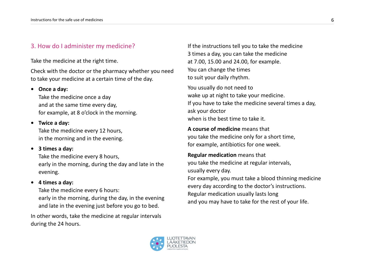#### <span id="page-5-0"></span>3. How do I administer my medicine?

Take the medicine at the right time.

Check with the doctor or the pharmacy whether you need to take your medicine at a certain time of the day.

#### **• Once a day:**

Take the medicine once a day and at the same time every day, for example, at 8 o'clock in the morning.

**• Twice a day:**

Take the medicine every 12 hours, in the morning and in the evening.

#### **• 3 times a day:**

Take the medicine every 8 hours, early in the morning, during the day and late in the evening.

#### **• 4 times a day:**

Take the medicine every 6 hours: early in the morning, during the day, in the evening and late in the evening just before you go to bed.

In other words, take the medicine at regular intervals during the 24 hours.

If the instructions tell you to take the medicine 3 times a day, you can take the medicine at 7.00, 15.00 and 24.00, for example. You can change the times to suit your daily rhythm.

You usually do not need to wake up at night to take your medicine. If you have to take the medicine several times a day, ask your doctor when is the best time to take it.

**A course of medicine** means that you take the medicine only for a short time, for example, antibiotics for one week.

**Regular medication** means that you take the medicine at regular intervals, usually every day. For example, you must take a blood thinning medicine

every day according to the doctor's instructions. Regular medication usually lasts long and you may have to take for the rest of your life.

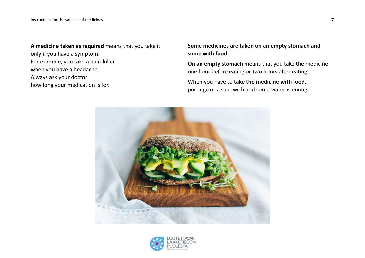**A medicine taken as required** means that you take it only if you have a symptom. For example, you take a pain-killer when you have a headache. Always ask your doctor how long your medication is for.

**Some medicines are taken on an empty stomach and some with food.**

**On an empty stomach** means that you take the medicine one hour before eating or two hours after eating.

When you have to **take the medicine with food**, porridge or a sandwich and some water is enough.



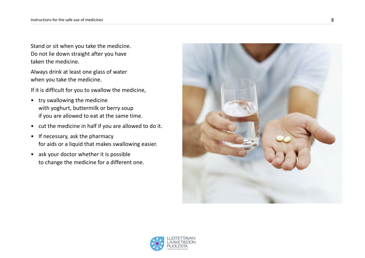Stand or sit when you take the medicine. Do not lie down straight after you have taken the medicine.

Always drink at least one glass of water when you take the medicine.

If it is difficult for you to swallow the medicine,

- try swallowing the medicine with yoghurt, buttermilk or berry soup if you are allowed to eat at the same time.
- cut the medicine in half if you are allowed to do it.
- If necessary, ask the pharmacy for aids or a liquid that makes swallowing easier.
- ask your doctor whether it is possible to change the medicine for a different one.



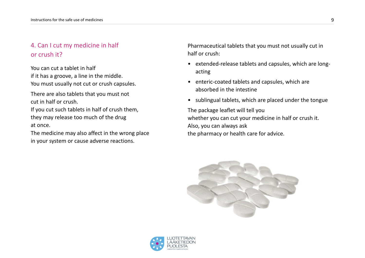### <span id="page-8-0"></span>4. Can I cut my medicine in half or crush it?

You can cut a tablet in half if it has a groove, a line in the middle. You must usually not cut or crush capsules.

There are also tablets that you must not cut in half or crush.

If you cut such tablets in half of crush them, they may release too much of the drug at once.

The medicine may also affect in the wrong place in your system or cause adverse reactions.

Pharmaceutical tablets that you must not usually cut in half or crush:

- extended-release tablets and capsules, which are longacting
- enteric-coated tablets and capsules, which are absorbed in the intestine
- sublingual tablets, which are placed under the tongue

The package leaflet will tell you whether you can cut your medicine in half or crush it. Also, you can always ask the pharmacy or health care for advice.



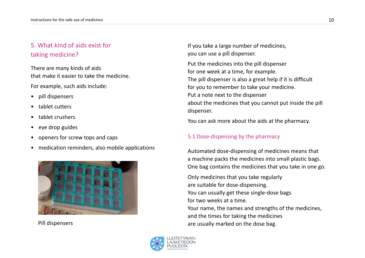### <span id="page-9-0"></span>5. What kind of aids exist for taking medicine?

There are many kinds of aids that make it easier to take the medicine.

For example, such aids include:

- pill dispensers
- tablet cutters
- tablet crushers
- eye drop guides
- openers for screw tops and caps
- medication reminders, also mobile applications



Pill dispensers

If you take a large number of medicines, you can use a pill dispenser.

Put the medicines into the pill dispenser for one week at a time, for example. The pill dispenser is also a great help if it is difficult for you to remember to take your medicine. Put a note next to the dispenser about the medicines that you cannot put inside the pill dispenser.

You can ask more about the aids at the pharmacy.

#### 5.1 Dose-dispensing by the pharmacy

Automated dose-dispensing of medicines means that a machine packs the medicines into small plastic bags. One bag contains the medicines that you take in one go.

Only medicines that you take regularly are suitable for dose-dispensing. You can usually get these single-dose bags for two weeks at a time. Your name, the names and strengths of the medicines, and the times for taking the medicines are usually marked on the dose bag.

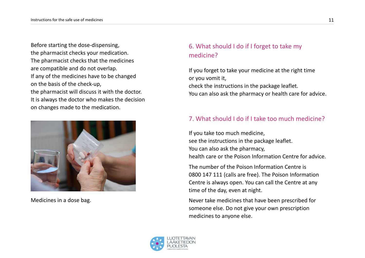<span id="page-10-0"></span>Before starting the dose-dispensing, the pharmacist checks your medication. The pharmacist checks that the medicines are compatible and do not overlap. If any of the medicines have to be changed on the basis of the check-up, the pharmacist will discuss it with the doctor. It is always the doctor who makes the decision on changes made to the medication.



Medicines in a dose bag.

### 6. What should I do if I forget to take my medicine?

If you forget to take your medicine at the right time or you vomit it, check the instructions in the package leaflet. You can also ask the pharmacy or health care for advice.

### 7. What should I do if I take too much medicine?

If you take too much medicine, see the instructions in the package leaflet. You can also ask the pharmacy, health care or the Poison Information Centre for advice.

The number of the Poison Information Centre is 0800 147 111 (calls are free). The Poison Information Centre is always open. You can call the Centre at any time of the day, even at night.

Never take medicines that have been prescribed for someone else. Do not give your own prescription medicines to anyone else.

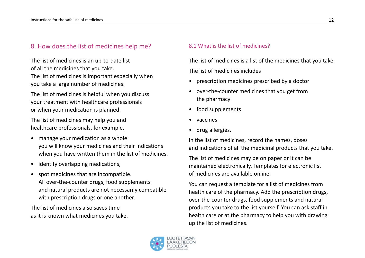#### <span id="page-11-0"></span>8. How does the list of medicines help me?

The list of medicines is an up-to-date list of all the medicines that you take. The list of medicines is important especially when you take a large number of medicines.

The list of medicines is helpful when you discuss your treatment with healthcare professionals or when your medication is planned.

The list of medicines may help you and healthcare professionals, for example,

- manage your medication as a whole: you will know your medicines and their indications when you have written them in the list of medicines.
- identify overlapping medications,
- spot medicines that are incompatible. All over-the-counter drugs, food supplements and natural products are not necessarily compatible with prescription drugs or one another.

The list of medicines also saves time as it is known what medicines you take.

#### 8.1 What is the list of medicines?

The list of medicines is a list of the medicines that you take. The list of medicines includes

- prescription medicines prescribed by a doctor
- over-the-counter medicines that you get from the pharmacy
- food supplements
- vaccines
- drug allergies.

In the list of medicines, record the names, doses and indications of all the medicinal products that you take.

The list of medicines may be on paper or it can be maintained electronically. Templates for electronic list of medicines are available online.

You can request a template for a list of medicines from health care of the pharmacy. Add the prescription drugs, over-the-counter drugs, food supplements and natural products you take to the list yourself. You can ask staff in health care or at the pharmacy to help you with drawing up the list of medicines.

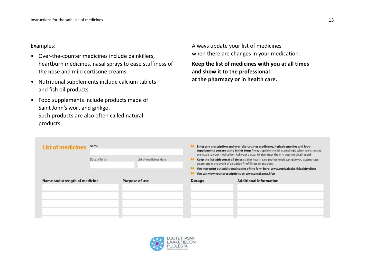#### Examples:

- Over-the-counter medicines include painkillers, heartburn medicines, nasal sprays to ease stuffiness of the nose and mild cortisone creams.
- Nutritional supplements include calcium tablets and fish oil products.
- Food supplements include products made of Saint John's wort and ginkgo. Such products are also often called natural products.

Always update your list of medicines when there are changes in your medication.

**Keep the list of medicines with you at all times and show it to the professional at the pharmacy or in health care.** 

| <b>List of medicines</b>      | Name          |                        | Enter any prescription and over-the-counter medicines, herbal remedies and food<br>supplements you are using in this form Always update the list accordingly when any changes<br>are made to your medication. Ask your doctor to also enter them in your medical record.                                             |                               |
|-------------------------------|---------------|------------------------|----------------------------------------------------------------------------------------------------------------------------------------------------------------------------------------------------------------------------------------------------------------------------------------------------------------------|-------------------------------|
|                               | Date of birth | List of medicines date | Keep the list with you at all times so that health care professionals can give you appropriate<br>treatment in the event of a sudden fit of illness or accident.<br>You may print out additional copies of the form here: www.sopivalaake.fi/laakityslista<br>You can view your prescriptions at: www.omakanta.fi/en |                               |
| Name and strength of medicine |               | Purpose of use         | <b>Dosage</b>                                                                                                                                                                                                                                                                                                        | <b>Additional information</b> |
|                               |               |                        |                                                                                                                                                                                                                                                                                                                      |                               |

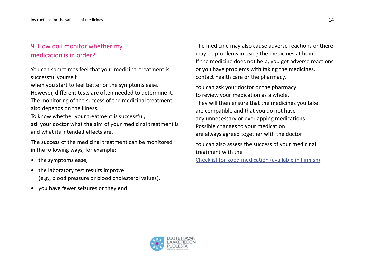### <span id="page-13-0"></span>9. How do I monitor whether my medication is in order?

You can sometimes feel that your medicinal treatment is successful yourself

when you start to feel better or the symptoms ease.

However, different tests are often needed to determine it. The monitoring of the success of the medicinal treatment also depends on the illness.

To know whether your treatment is successful, ask your doctor what the aim of your medicinal treatment is and what its intended effects are.

The success of the medicinal treatment can be monitored in the following ways, for example:

- the symptoms ease,
- the laboratory test results improve (e.g., blood pressure or blood cholesterol values),
- you have fewer seizures or they end.

The medicine may also cause adverse reactions or there may be problems in using the medicines at home. If the medicine does not help, you get adverse reactions or you have problems with taking the medicines, contact health care or the pharmacy.

You can ask your doctor or the pharmacy to review your medication as a whole. They will then ensure that the medicines you take are compatible and that you do not have any unnecessary or overlapping medications. Possible changes to your medication are always agreed together with the doctor.

You can also assess the success of your medicinal treatment with the

[Checklist for good medication](https://www.fimea.fi/documents/160140/762468/Lotta_kyselylomake_FINAL.pdf) (available in Finnish).

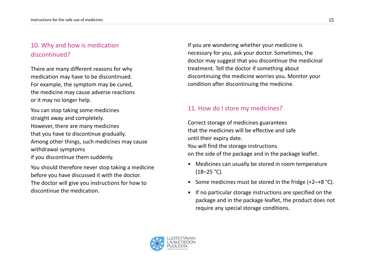### <span id="page-14-0"></span>10. Why and how is medication discontinued?

There are many different reasons for why medication may have to be discontinued. For example, the symptom may be cured, the medicine may cause adverse reactions or it may no longer help.

You can stop taking some medicines straight away and completely. However, there are many medicines that you have to discontinue gradually. Among other things, such medicines may cause withdrawal symptoms if you discontinue them suddenly.

You should therefore never stop taking a medicine before you have discussed it with the doctor. The doctor will give you instructions for how to discontinue the medication.

If you are wondering whether your medicine is necessary for you, ask your doctor. Sometimes, the doctor may suggest that you discontinue the medicinal treatment. Tell the doctor if something about discontinuing the medicine worries you. Monitor your condition after discontinuing the medicine.

#### 11. How do I store my medicines?

Correct storage of medicines guarantees that the medicines will be effective and safe until their expiry date. You will find the storage instructions on the side of the package and in the package leaflet.

- Medicines can usually be stored in room temperature  $(18-25 °C)$ .
- Some medicines must be stored in the fridge (+2–+8 °C).
- If no particular storage instructions are specified on the package and in the package leaflet, the product does not require any special storage conditions.

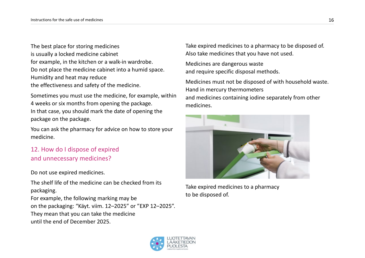<span id="page-15-0"></span>The best place for storing medicines is usually a locked medicine cabinet for example, in the kitchen or a walk-in wardrobe. Do not place the medicine cabinet into a humid space. Humidity and heat may reduce the effectiveness and safety of the medicine.

Sometimes you must use the medicine, for example, within 4 weeks or six months from opening the package. In that case, you should mark the date of opening the package on the package.

You can ask the pharmacy for advice on how to store your medicine.

### 12. How do I dispose of expired and unnecessary medicines?

Do not use expired medicines.

The shelf life of the medicine can be checked from its packaging.

For example, the following marking may be on the packaging: "Käyt. viim. 12–2025" or "EXP 12–2025". They mean that you can take the medicine until the end of December 2025.

Take expired medicines to a pharmacy to be disposed of. Also take medicines that you have not used.

Medicines are dangerous waste and require specific disposal methods.

Medicines must not be disposed of with household waste. Hand in mercury thermometers and medicines containing iodine separately from other medicines.

![](_page_15_Picture_11.jpeg)

Take expired medicines to a pharmacy to be disposed of.

![](_page_15_Picture_13.jpeg)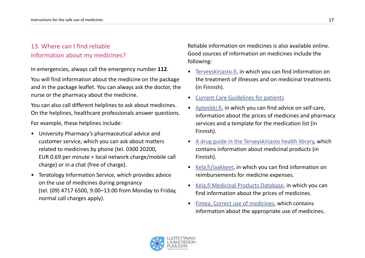### <span id="page-16-0"></span>13. Where can I find reliable information about my medicines?

In emergencies, always call the emergency number **112**.

You will find information about the medicine on the package and in the package leaflet. You can always ask the doctor, the nurse or the pharmacy about the medicine.

You can also call different helplines to ask about medicines. On the helplines, healthcare professionals answer questions.

For example, these helplines include:

- University Pharmacy's pharmaceutical advice and customer service, which you can ask about matters related to medicines by phone (tel. 0300 20200, EUR 0.69 per minute + local network charge/mobile call charge) or in a chat (free of charge).
- Teratology Information Service, which provides advice on the use of medicines during pregnancy (tel. (09) 4717 6500, 9.00–13.00 from Monday to Friday, normal call charges apply).

Reliable information on medicines is also available online. Good sources of information on medicines include the following:

- [Terveyskirjasto.fi,](https://www.terveyskirjasto.fi/terveyskirjasto/tk.koti) in which you can find information on the treatment of illnesses and on medicinal treatments (in Finnish).
- [Current Care Guidelines for patients](https://www.kaypahoito.fi/en/)
- [Apteekki.fi,](https://www.apteekki.fi/) in which you can find advice on self-care, information about the prices of medicines and pharmacy services and a template for the medication list (in Finnish).
- [A drug guide in the Terveyskirjasto health library](https://www.terveyskirjasto.fi/terveyskirjasto/tk.koti?p_teos=far), which contains information about medicinal products (in Finnish).
- [Kela.fi/laakkeet](https://www.kela.fi/web/en/medicine-expenses), in which you can find information on reimbursements for medicine expenses.
- [Kela.fi Medicinal Products Database](https://asiointi.kela.fi/laakekys_app/LaakekysApplication?kieli=en), in which you can find information about the prices of medicines.
- [Fimea, Correct use of medicines,](https://www.fimea.fi/web/en/for_public/correct-use-of-medicines) which contains information about the appropriate use of medicines.

![](_page_16_Picture_16.jpeg)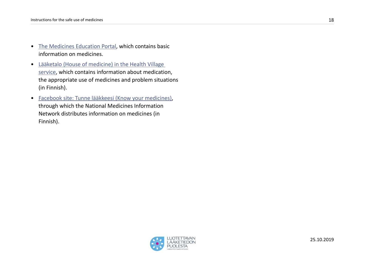- [The Medicines Education Portal,](https://www.tervekoululainen.fi/en/home/medicines-education/medicines-education-collaboration/) which contains basic information on medicines.
- [Lääketalo \(House of medicine\) in the Health Village](https://www.terveyskyla.fi/laaketalo)  [service,](https://www.terveyskyla.fi/laaketalo) which contains information about medication, the appropriate use of medicines and problem situations (in Finnish).
- [Facebook site: Tunne lääkkeesi \(Know your medicines\)](https://www.facebook.com/tunnelaakkeesi/?fref=ts), through which the National Medicines Information Network distributes information on medicines (in Finnish).

![](_page_17_Picture_4.jpeg)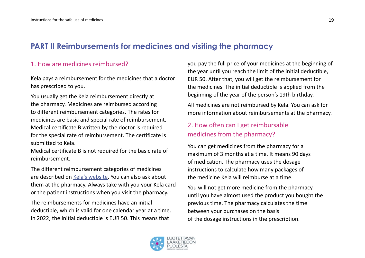### <span id="page-18-0"></span>**PART II Reimbursements for medicines and visiting the pharmacy**

#### 1. How are medicines reimbursed?

Kela pays a reimbursement for the medicines that a doctor has prescribed to you.

You usually get the Kela reimbursement directly at the pharmacy. Medicines are reimbursed according to different reimbursement categories. The rates for medicines are basic and special rate of reimbursement. Medical certificate B written by the doctor is required for the special rate of reimbursement. The certificate is submitted to Kela.

Medical certificate B is not required for the basic rate of reimbursement.

The different reimbursement categories of medicines are described on [Kela's website](https://www.kela.fi/web/en/medicine-expenses). You can also ask about them at the pharmacy. Always take with you your Kela card or the patient instructions when you visit the pharmacy.

The reimbursements for medicines have an initial deductible, which is valid for one calendar year at a time. In 2022, the initial deductible is EUR 50. This means that

you pay the full price of your medicines at the beginning of the year until you reach the limit of the initial deductible, EUR 50. After that, you will get the reimbursement for the medicines. The initial deductible is applied from the beginning of the year of the person's 19th birthday.

All medicines are not reimbursed by Kela. You can ask for more information about reimbursements at the pharmacy.

### 2. How often can I get reimbursable medicines from the pharmacy?

You can get medicines from the pharmacy for a maximum of 3 months at a time. It means 90 days of medication. The pharmacy uses the dosage instructions to calculate how many packages of the medicine Kela will reimburse at a time.

You will not get more medicine from the pharmacy until you have almost used the product you bought the previous time. The pharmacy calculates the time between your purchases on the basis of the dosage instructions in the prescription.

![](_page_18_Picture_13.jpeg)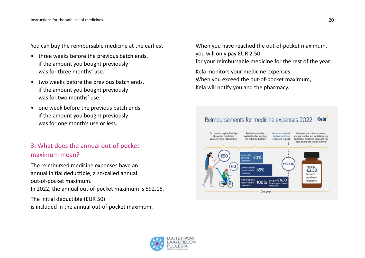<span id="page-19-0"></span>You can buy the reimbursable medicine at the earliest

- three weeks before the previous batch ends, if the amount you bought previously was for three months' use.
- two weeks before the previous batch ends, if the amount you bought previously was for two months' use.
- one week before the previous batch ends if the amount you bought previously was for one month's use or less.

### 3. What does the annual out-of-pocket maximum mean?

The reimbursed medicine expenses have an annual initial deductible, a so-called annual out-of-pocket maximum. In 2022, the annual out-of-pocket maximum is 592,16. The initial deductible (EUR 50)

is included in the annual out-of-pocket maximum.

When you have reached the out-of-pocket maximum, you will only pay EUR 2.50 for your reimbursable medicine for the rest of the year.

Kela monitors your medicine expenses. When you exceed the out-of-pocket maximum, Kela will notify you and the pharmacy.

#### Reimbursements for medicine expenses 2022 **Kela**

![](_page_19_Figure_11.jpeg)

![](_page_19_Picture_12.jpeg)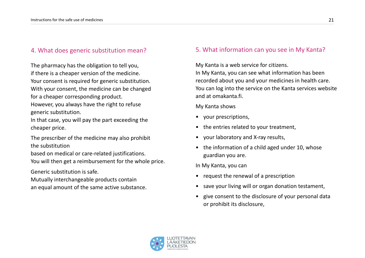#### <span id="page-20-0"></span>4. What does generic substitution mean?

The pharmacy has the obligation to tell you, if there is a cheaper version of the medicine. Your consent is required for generic substitution. With your consent, the medicine can be changed for a cheaper corresponding product. However, you always have the right to refuse

generic substitution.

In that case, you will pay the part exceeding the cheaper price.

The prescriber of the medicine may also prohibit the substitution

based on medical or care-related justifications.

You will then get a reimbursement for the whole price.

Generic substitution is safe.

Mutually interchangeable products contain

an equal amount of the same active substance.

#### 5. What information can you see in My Kanta?

My Kanta is a web service for citizens.

In My Kanta, you can see what information has been recorded about you and your medicines in health care. You can log into the service on the Kanta services website and at omakanta.fi.

My Kanta shows

- your prescriptions,
- the entries related to your treatment,
- your laboratory and X-ray results,
- the information of a child aged under 10, whose guardian you are.

In My Kanta, you can

- request the renewal of a prescription
- save your living will or organ donation testament,
- give consent to the disclosure of your personal data or prohibit its disclosure,

![](_page_20_Picture_23.jpeg)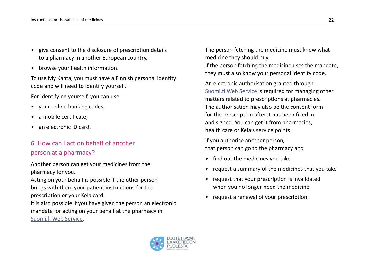- <span id="page-21-0"></span>• give consent to the disclosure of prescription details to a pharmacy in another European country,
- browse your health information.

To use My Kanta, you must have a Finnish personal identity code and will need to identify yourself.

For identifying yourself, you can use

- your online banking codes,
- a mobile certificate,
- an electronic ID card.

### 6. How can I act on behalf of another person at a pharmacy?

Another person can get your medicines from the pharmacy for you.

Acting on your behalf is possible if the other person brings with them your patient instructions for the prescription or your Kela card.

It is also possible if you have given the person an electronic mandate for acting on your behalf at the pharmacy in [Suomi.fi Web Service.](https://www.suomi.fi/e-authorizations)

The person fetching the medicine must know what medicine they should buy.

If the person fetching the medicine uses the mandate, they must also know your personal identity code.

An electronic authorisation granted through [Suomi.fi Web Service](https://www.suomi.fi/e-authorizations) is required for managing other matters related to prescriptions at pharmacies. The authorisation may also be the consent form for the prescription after it has been filled in and signed. You can get it from pharmacies, health care or Kela's service points.

If you authorise another person, that person can go to the pharmacy and

- find out the medicines you take
- request a summary of the medicines that you take
- request that your prescription is invalidated when you no longer need the medicine.
- request a renewal of your prescription.

![](_page_21_Picture_20.jpeg)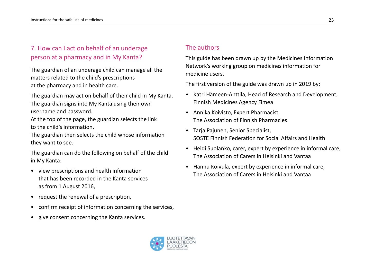### <span id="page-22-0"></span>7. How can I act on behalf of an underage person at a pharmacy and in My Kanta?

The guardian of an underage child can manage all the matters related to the child's prescriptions at the pharmacy and in health care.

The guardian may act on behalf of their child in My Kanta. The guardian signs into My Kanta using their own username and password.

At the top of the page, the guardian selects the link to the child's information.

The guardian then selects the child whose information they want to see.

The guardian can do the following on behalf of the child in My Kanta:

- view prescriptions and health information that has been recorded in the Kanta services as from 1 August 2016,
- request the renewal of a prescription,
- confirm receipt of information concerning the services,
- give consent concerning the Kanta services.

#### The authors

This guide has been drawn up by the Medicines Information Network's working group on medicines information for medicine users.

The first version of the guide was drawn up in 2019 by:

- Katri Hämeen-Anttila, Head of Research and Development, Finnish Medicines Agency Fimea
- Annika Koivisto, Expert Pharmacist, The Association of Finnish Pharmacies
- Tarja Pajunen, Senior Specialist, SOSTE Finnish Federation for Social Affairs and Health
- Heidi Suolanko, carer, expert by experience in informal care, The Association of Carers in Helsinki and Vantaa
- Hannu Koivula, expert by experience in informal care, The Association of Carers in Helsinki and Vantaa

![](_page_22_Picture_19.jpeg)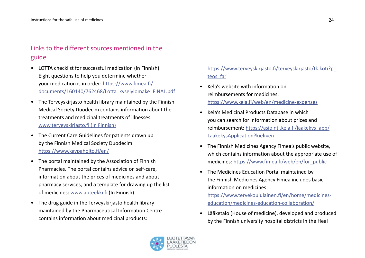### <span id="page-23-0"></span>Links to the different sources mentioned in the guide

- LOTTA checklist for successful medication (in Finnish). Eight questions to help you determine whether your medication is in order: [https://www.fimea.fi/](https://www.fimea.fi/documents/160140/762468/Lotta_kyselylomake_FINAL.pdf) [documents/160140/762468/Lotta\\_kyselylomake\\_FINAL.pdf](https://www.fimea.fi/documents/160140/762468/Lotta_kyselylomake_FINAL.pdf)
- The Terveyskirjasto health library maintained by the Finnish Medical Society Duodecim contains information about the treatments and medicinal treatments of illnesses: [www.terveyskirjasto.fi](http://www.terveyskirjasto.fi) (In Finnish)
- The Current Care Guidelines for patients drawn up by the Finnish Medical Society Duodecim: <https://www.kaypahoito.fi/en/>
- The portal maintained by the Association of Finnish Pharmacies. The portal contains advice on self-care, information about the prices of medicines and about pharmacy services, and a template for drawing up the list of medicines: [www.apteekki.fi](http://www.apteekki.fi) (In Finnish)
- The drug guide in the Terveyskirjasto health library maintained by the Pharmaceutical Information Centre contains information about medicinal products:

#### [https://www.terveyskirjasto.fi/terveyskirjasto/tk.koti?p\\_](https://www.terveyskirjasto.fi/terveyskirjasto/tk.koti?p_teos=far) [teos=far](https://www.terveyskirjasto.fi/terveyskirjasto/tk.koti?p_teos=far)

- Kela's website with information on reimbursements for medicines: <https://www.kela.fi/web/en/medicine-expenses>
- Kela's Medicinal Products Database in which you can search for information about prices and reimbursement: https://asiointi.kela.fi/laakekys\_app/ LaakekysApplication?kieli=en
- The Finnish Medicines Agency Fimea's public website, which contains information about the appropriate use of medicines: [https://www.fimea.fi/web/en/for\\_public](https://www.fimea.fi/web/en/for_public)
- The Medicines Education Portal maintained by the Finnish Medicines Agency Fimea includes basic information on medicines: https://www.tervekoululainen.fi/en/home/medicineseducation/medicines-education-collaboration/
- Lääketalo (House of medicine), developed and produced by the Finnish university hospital districts in the Heal

![](_page_23_Picture_13.jpeg)